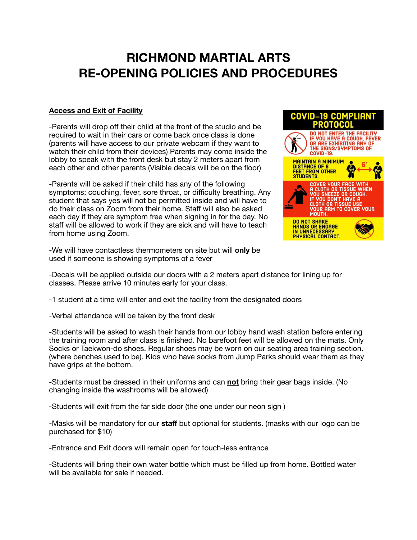## **RICHMOND MARTIAL ARTS RE-OPENING POLICIES AND PROCEDURES**

## **Access and Exit of Facility**

-Parents will drop off their child at the front of the studio and be required to wait in their cars or come back once class is done (parents will have access to our private webcam if they want to watch their child from their devices) Parents may come inside the lobby to speak with the front desk but stay 2 meters apart from each other and other parents (Visible decals will be on the floor)

-Parents will be asked if their child has any of the following symptoms; couching, fever, sore throat, or difficulty breathing. Any student that says yes will not be permitted inside and will have to do their class on Zoom from their home. Staff will also be asked each day if they are symptom free when signing in for the day. No staff will be allowed to work if they are sick and will have to teach from home using Zoom.

-We will have contactless thermometers on site but will **only** be used if someone is showing symptoms of a fever



-Decals will be applied outside our doors with a 2 meters apart distance for lining up for classes. Please arrive 10 minutes early for your class.

-1 student at a time will enter and exit the facility from the designated doors

-Verbal attendance will be taken by the front desk

-Students will be asked to wash their hands from our lobby hand wash station before entering the training room and after class is finished. No barefoot feet will be allowed on the mats. Only Socks or Taekwon-do shoes. Regular shoes may be worn on our seating area training section. (where benches used to be). Kids who have socks from Jump Parks should wear them as they have grips at the bottom.

-Students must be dressed in their uniforms and can **not** bring their gear bags inside. (No changing inside the washrooms will be allowed)

-Students will exit from the far side door (the one under our neon sign )

-Masks will be mandatory for our **staff** but optional for students. (masks with our logo can be purchased for \$10)

-Entrance and Exit doors will remain open for touch-less entrance

-Students will bring their own water bottle which must be filled up from home. Bottled water will be available for sale if needed.